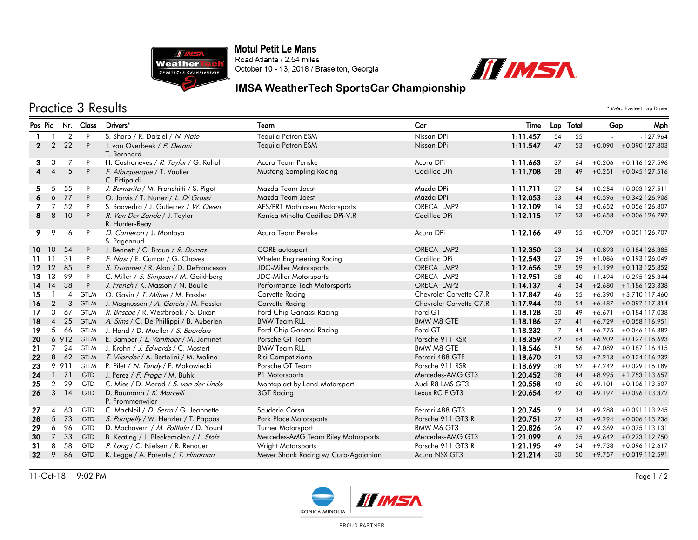

**Motul Petit Le Mans** Road Atlanta / 2.54 miles October 10 - 13, 2018 / Braselton, Georgia



## IMSA WeatherTech SportsCar Championship

## Practice 3 Results \* *Italic:* Fastest Lap Driver

|                 | Pos Pic                  |                | Nr. Class   | Drivers*                                       | Team                                 | Car                     | Time     | Lap Total      |    | Gap        | Mph                      |  |
|-----------------|--------------------------|----------------|-------------|------------------------------------------------|--------------------------------------|-------------------------|----------|----------------|----|------------|--------------------------|--|
|                 |                          | $\overline{2}$ | P           | S. Sharp / R. Dalziel / N. Nato                | Tequila Patron ESM                   | Nissan DPi              | 1:11.457 | 54             | 55 | $-127.964$ |                          |  |
| $\mathbf{2}$    | $\overline{2}$           | 22             | P           | J. van Overbeek / P. Derani                    | Tequila Patron ESM                   | Nissan DPi              | 1:11.547 | 47             | 53 |            | $+0.090 + 0.090$ 127.803 |  |
|                 |                          |                |             | T. Bernhard                                    |                                      |                         |          |                |    |            |                          |  |
| 3               | 3                        | 7              | P           | H. Castroneves / R. Taylor / G. Rahal          | Acura Team Penske                    | Acura DPi               | 1:11.663 | 37             | 64 |            | $+0.206 +0.116$ 127.596  |  |
| $\overline{4}$  | $\boldsymbol{\varDelta}$ | 5              | P           | F. Albuquerque / T. Vautier<br>C. Fittipaldi   | Mustang Sampling Racing              | Cadillac DPi            | 1:11.708 | 28             | 49 |            | $+0.251 + 0.045$ 127.516 |  |
| 5.              | 5                        | 55             | P           | J. Bomarito / M. Franchitti / S. Pigot         | Mazda Team Joest                     | Mazda DPi               | 1:11.711 | 37             | 54 | $+0.254$   | +0.003 127.511           |  |
|                 | 6                        | 77             | P           | O. Jarvis / T. Nunez / L. Di Grassi            | Mazda Team Joest                     | Mazda DPi               | 1:12.053 | 33             | 44 |            | $+0.596 + 0.342$ 126.906 |  |
| 7               | 7                        | 52             | P           | S. Saavedra / J. Gutierrez / W. Owen           | AFS/PR1 Mathiasen Motorsports        | ORECA LMP2              | 1:12.109 | 14             | 53 |            | $+0.652 + 0.056$ 126.807 |  |
| 8               | 8                        | 10             | P           | R. Van Der Zande / J. Taylor<br>R. Hunter-Reay | Konica Minolta Cadillac DPi-V.R      | Cadillac DPi            | 1:12.115 | 17             | 53 |            | $+0.658 + 0.006$ 126.797 |  |
| 9.              | 9                        | 6              | P           | D. Cameron / J. Montoya<br>S. Pagenaud         | Acura Team Penske                    | Acura DPi               | 1:12.166 | 49             | 55 |            | $+0.709 + 0.051126.707$  |  |
|                 | 10 10                    | 54             | P           | J. Bennett / C. Braun / R. Dumas               | <b>CORE</b> autosport                | ORECA LMP2              | 1:12.350 | 23             | 34 |            | $+0.893 + 0.184$ 126.385 |  |
| 11.             | -11                      | 31             | P           | F. Nasr / E. Curran / G. Chaves                | Whelen Engineering Racing            | Cadillac DPi            | 1:12.543 | 27             | 39 |            | $+1.086 + 0.193126.049$  |  |
| 12 <sup>°</sup> | 12                       | 85             | P           | S. Trummer / R. Alon / D. DeFrancesco          | <b>JDC-Miller Motorsports</b>        | ORECA LMP2              | 1:12.656 | 59             | 59 |            | $+1.199 + 0.113125.852$  |  |
| 13              | 13                       | 99             | P           | C. Miller / S. Simpson / M. Goikhberg          | <b>JDC-Miller Motorsports</b>        | ORECA LMP2              | 1:12.951 | 38             | 40 |            | $+1.494 + 0.295$ 125.344 |  |
| 14              | 14                       | 38             | P           | J. French / K. Masson / N. Boulle              | Performance Tech Motorsports         | ORECA LMP2              | 1:14.137 | $\overline{4}$ | 24 |            | $+2.680 + 1.186$ 123.338 |  |
| 15              |                          | 4              | <b>GTLM</b> | O. Gavin / T. Milner / M. Fassler              | Corvette Racing                      | Chevrolet Corvette C7.R | 1:17.847 | 46             | 55 |            | $+6.390 +3.710117.460$   |  |
| 16              | 2                        | 3              | <b>GTLM</b> | J. Magnussen / A. Garcia / M. Fassler          | Corvette Racing                      | Chevrolet Corvette C7.R | 1:17.944 | 50             | 54 |            | $+6.487 + 0.097$ 117.314 |  |
| 17              | 3                        | 67             | <b>GTLM</b> | R. Briscoe / R. Westbrook / S. Dixon           | Ford Chip Ganassi Racing             | Ford GT                 | 1:18.128 | 30             | 49 | $+6.671$   | +0.184 117.038           |  |
| 18              | $\overline{4}$           | 25             | <b>GTLM</b> | A. Sims / C. De Phillippi / B. Auberlen        | <b>BMW Team RLL</b>                  | <b>BMW M8 GTE</b>       | 1:18.186 | 37             | 41 | $+6.729$   | +0.058 116.951           |  |
| 19              | 5                        | 66             | <b>GTLM</b> | J. Hand / D. Mueller / S. Bourdais             | Ford Chip Ganassi Racing             | Ford GT                 | 1:18.232 | $\overline{7}$ | 44 | $+6.775$   | +0.046 116.882           |  |
| 20              |                          |                | 6 912 GTLM  | E. Bamber / L. Vanthoor / M. Jaminet           | Porsche GT Team                      | Porsche 911 RSR         | 1:18.359 | 62             | 64 |            | $+6.902 + 0.127116.693$  |  |
| 21              | 7                        | 24             | <b>GTLM</b> | J. Krohn / J. Edwards / C. Mostert             | <b>BMW Team RLL</b>                  | <b>BMW M8 GTE</b>       | 1:18.546 | 51             | 56 | $+7.089$   | +0.187 116.415           |  |
| 22              | 8                        | 62             | <b>GTLM</b> | <i>T. Vilander</i> / A. Bertolini / M. Molina  | Risi Competizione                    | Ferrari 488 GTE         | 1:18.670 | 21             | 53 |            | $+7.213 + 0.124116.232$  |  |
| 23              |                          | 9 9 1 1        | <b>GTLM</b> | P. Pilet / N. Tandy / F. Makowiecki            | Porsche GT Team                      | Porsche 911 RSR         | 1:18.699 | 38             | 52 |            | $+7.242 + 0.029$ 116.189 |  |
| 24              | $\mathbf{1}$             | 71             | <b>GTD</b>  | J. Perez / F. Fraga / M. Buhk                  | P1 Motorsports                       | Mercedes-AMG GT3        | 1:20.452 | 38             | 44 |            | $+8.995 + 1.753$ 113.657 |  |
| 25              | $\overline{2}$           | 29             | <b>GTD</b>  | C. Mies / D. Morad / S. van der Linde          | Montaplast by Land-Motorsport        | Audi R8 LMS GT3         | 1:20.558 | 40             | 60 | $+9.101$   | +0.106 113.507           |  |
| 26              | 3                        | 14             | <b>GTD</b>  | D. Baumann / K. Marcelli<br>P. Frommenwiler    | <b>3GT Racing</b>                    | Lexus RC F GT3          | 1:20.654 | 42             | 43 |            | $+9.197 + 0.096113.372$  |  |
| 27              | $\blacktriangle$         | 63             | <b>GTD</b>  | C. MacNeil / D. Serra / G. Jeannette           | Scuderia Corsa                       | Ferrari 488 GT3         | 1:20.745 | 9              | 34 | $+9.288$   | +0.091 113.245           |  |
| 28              | 5                        | 73             | GTD         | S. Pumpelly / W. Henzler / T. Pappas           | <b>Park Place Motorsports</b>        | Porsche 911 GT3 R       | 1:20.751 | 27             | 43 | $+9.294$   | +0.006 113.236           |  |
| 29              | 6                        | 96             | <b>GTD</b>  | D. Machavern / M. Palttala / D. Yount          | <b>Turner Motorsport</b>             | <b>BMW M6 GT3</b>       | 1:20.826 | 26             | 47 | $+9.369$   | $+0.075$ 113.131         |  |
| 30              | $\overline{7}$           | 33             | <b>GTD</b>  | B. Keating / J. Bleekemolen / L. Stolz         | Mercedes-AMG Team Riley Motorsports  | Mercedes-AMG GT3        | 1:21.099 | 6              | 25 |            | $+9.642 + 0.273$ 112.750 |  |
| -31             | 8                        | 58             | <b>GTD</b>  | P. Long / C. Nielsen / R. Renauer              | Wright Motorsports                   | Porsche 911 GT3 R       | 1:21.195 | 49             | 54 | $+9.738$   | +0.096 112.617           |  |
| 32 <sub>2</sub> | 9                        | 86             | GTD         | K. Legge / A. Parente / T. Hindman             | Meyer Shank Racing w/ Curb-Agajanian | Acura NSX GT3           | 1:21.214 | 30             | 50 |            | $+9.757 +0.019$ 112.591  |  |



PROUD PARTNER